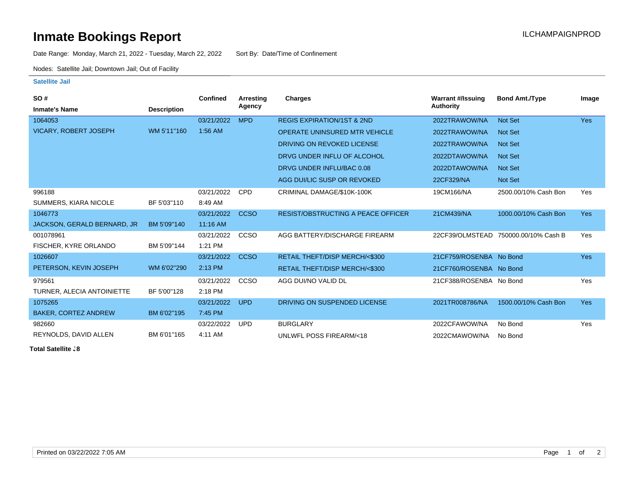# **Inmate Bookings Report Installation ILCHAMPAIGNPROD**

Date Range: Monday, March 21, 2022 - Tuesday, March 22, 2022 Sort By: Date/Time of Confinement

Nodes: Satellite Jail; Downtown Jail; Out of Facility

#### **Satellite Jail**

| SO#                          |                    | Confined   | Arrestina   | Charges                                   | <b>Warrant #/Issuing</b> | <b>Bond Amt./Type</b>                | Image      |
|------------------------------|--------------------|------------|-------------|-------------------------------------------|--------------------------|--------------------------------------|------------|
| <b>Inmate's Name</b>         | <b>Description</b> |            | Agency      |                                           | Authority                |                                      |            |
| 1064053                      |                    | 03/21/2022 | <b>MPD</b>  | <b>REGIS EXPIRATION/1ST &amp; 2ND</b>     | 2022TRAWOW/NA            | Not Set                              | <b>Yes</b> |
| <b>VICARY, ROBERT JOSEPH</b> | WM 5'11"160        | $1:56$ AM  |             | <b>OPERATE UNINSURED MTR VEHICLE</b>      | 2022TRAWOW/NA            | <b>Not Set</b>                       |            |
|                              |                    |            |             | DRIVING ON REVOKED LICENSE                | 2022TRAWOW/NA            | <b>Not Set</b>                       |            |
|                              |                    |            |             | DRVG UNDER INFLU OF ALCOHOL               | 2022DTAWOW/NA            | <b>Not Set</b>                       |            |
|                              |                    |            |             | DRVG UNDER INFLU/BAC 0.08                 | 2022DTAWOW/NA            | <b>Not Set</b>                       |            |
|                              |                    |            |             | AGG DUI/LIC SUSP OR REVOKED               | 22CF329/NA               | <b>Not Set</b>                       |            |
| 996188                       |                    | 03/21/2022 | <b>CPD</b>  | CRIMINAL DAMAGE/\$10K-100K                | 19CM166/NA               | 2500.00/10% Cash Bon                 | Yes        |
| SUMMERS, KIARA NICOLE        | BF 5'03"110        | 8:49 AM    |             |                                           |                          |                                      |            |
| 1046773                      |                    | 03/21/2022 | <b>CCSO</b> | <b>RESIST/OBSTRUCTING A PEACE OFFICER</b> | 21CM439/NA               | 1000.00/10% Cash Bon                 | <b>Yes</b> |
| JACKSON, GERALD BERNARD, JR  | BM 5'09"140        | 11:16 AM   |             |                                           |                          |                                      |            |
| 001078961                    |                    | 03/21/2022 | <b>CCSO</b> | AGG BATTERY/DISCHARGE FIREARM             |                          | 22CF39/OLMSTEAD 750000.00/10% Cash B | Yes        |
| FISCHER, KYRE ORLANDO        | BM 5'09"144        | 1:21 PM    |             |                                           |                          |                                      |            |
| 1026607                      |                    | 03/21/2022 | <b>CCSO</b> | RETAIL THEFT/DISP MERCH/<\$300            | 21CF759/ROSENBA No Bond  |                                      | <b>Yes</b> |
| PETERSON, KEVIN JOSEPH       | WM 6'02"290        | 2:13 PM    |             | <b>RETAIL THEFT/DISP MERCH/&lt;\$300</b>  | 21CF760/ROSENBA No Bond  |                                      |            |
| 979561                       |                    | 03/21/2022 | CCSO        | AGG DUI/NO VALID DL                       | 21CF388/ROSENBA No Bond  |                                      | Yes        |
| TURNER, ALECIA ANTOINIETTE   | BF 5'00"128        | 2:18 PM    |             |                                           |                          |                                      |            |
| 1075265                      |                    | 03/21/2022 | <b>UPD</b>  | DRIVING ON SUSPENDED LICENSE              | 2021TR008786/NA          | 1500.00/10% Cash Bon                 | <b>Yes</b> |
| <b>BAKER, CORTEZ ANDREW</b>  | BM 6'02"195        | 7:45 PM    |             |                                           |                          |                                      |            |
| 982660                       |                    | 03/22/2022 | <b>UPD</b>  | <b>BURGLARY</b>                           | 2022CFAWOW/NA            | No Bond                              | Yes        |
| REYNOLDS, DAVID ALLEN        | BM 6'01"165        | 4:11 AM    |             | UNLWFL POSS FIREARM/<18                   | 2022CMAWOW/NA            | No Bond                              |            |

**Total Satellite . 8**